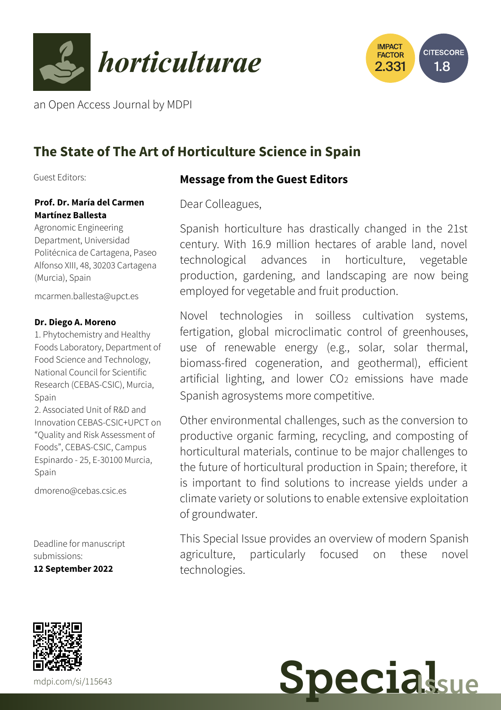



an Open Access Journal by MDPI

## **The State of The Art of Horticulture Science in Spain**

Guest Editors:

# **Prof. Dr. María del Carmen**

**Martínez Ballesta** Agronomic Engineering Department, Universidad

Politécnica de Cartagena, Paseo Alfonso XIII, 48, 30203 Cartagena (Murcia), Spain

[mcarmen.ballesta@upct.es](mailto:mcarmen.ballesta@upct.es)

#### **Dr. Diego A. Moreno**

1. Phytochemistry and Healthy Foods Laboratory, Department of Food Science and Technology, National Council for Scientific Research (CEBAS-CSIC), Murcia, Spain

2. Associated Unit of R&D and Innovation CEBAS-CSIC+UPCT on "Quality and Risk Assessment of Foods", CEBAS-CSIC, Campus Espinardo - 25, E-30100 Murcia, Spain

[dmoreno@cebas.csic.es](mailto:dmoreno@cebas.csic.es)

Deadline for manuscript submissions: **12 September 2022**

## Dear Colleagues,

**Message from the Guest Editors**

Spanish horticulture has drastically changed in the 21st century. With 16.9 million hectares of arable land, novel technological advances in horticulture, vegetable production, gardening, and landscaping are now being employed for vegetable and fruit production.

Novel technologies in soilless cultivation systems, fertigation, global microclimatic control of greenhouses, use of renewable energy (e.g., solar, solar thermal, biomass-fired cogeneration, and geothermal), efficient artificial lighting, and lower CO<sub>2</sub> emissions have made Spanish agrosystems more competitive.

Other environmental challenges, such as the conversion to productive organic farming, recycling, and composting of horticultural materials, continue to be major challenges to the future of horticultural production in Spain; therefore, it is important to find solutions to increase yields under a climate variety or solutions to enable extensive exploitation of groundwater.

This Special Issue provides an overview of modern Spanish agriculture, particularly focused on these novel technologies.



**Special**sue